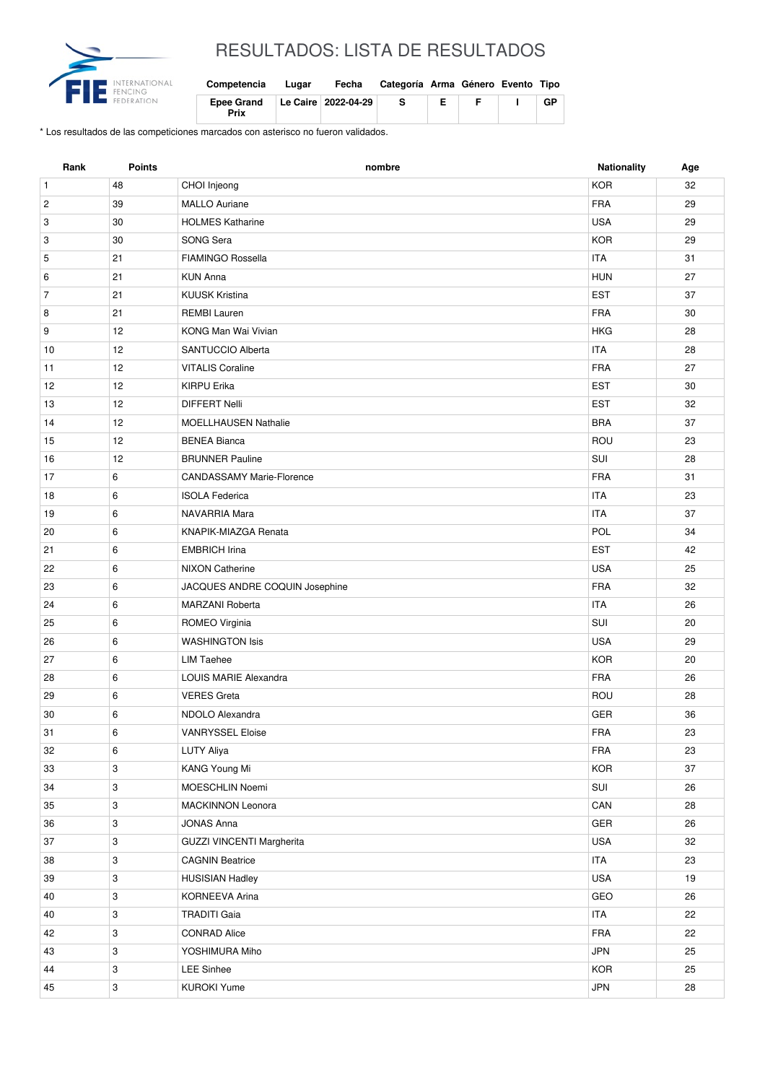

## RESULTADOS: LISTA DE RESULTADOS

| Competencia               | Lugar | Fecha                 | Categoría Arma Género Evento Tipo |    |   |    |
|---------------------------|-------|-----------------------|-----------------------------------|----|---|----|
| <b>Epee Grand</b><br>Prix |       | Le Caire   2022-04-29 | -S                                | Е. | E | GP |

\* Los resultados de las competiciones marcados con asterisco no fueron validados.

| Rank           | <b>Points</b> | nombre                           | <b>Nationality</b> | Age |
|----------------|---------------|----------------------------------|--------------------|-----|
| $\mathbf{1}$   | 48            | CHOI Injeong                     | <b>KOR</b>         | 32  |
| $\overline{c}$ | 39            | <b>MALLO Auriane</b>             | <b>FRA</b>         | 29  |
| 3              | 30            | <b>HOLMES Katharine</b>          | <b>USA</b>         | 29  |
| 3              | 30            | SONG Sera                        | <b>KOR</b>         | 29  |
| 5              | 21            | <b>FIAMINGO Rossella</b>         | <b>ITA</b>         | 31  |
| 6              | 21            | <b>KUN Anna</b>                  | <b>HUN</b>         | 27  |
| $\overline{7}$ | 21            | <b>KUUSK Kristina</b>            | <b>EST</b>         | 37  |
| 8              | 21            | <b>REMBI Lauren</b>              | <b>FRA</b>         | 30  |
| 9              | 12            | KONG Man Wai Vivian              | <b>HKG</b>         | 28  |
| 10             | 12            | SANTUCCIO Alberta                | <b>ITA</b>         | 28  |
| 11             | 12            | <b>VITALIS Coraline</b>          | <b>FRA</b>         | 27  |
| 12             | 12            | <b>KIRPU Erika</b>               | <b>EST</b>         | 30  |
| 13             | 12            | <b>DIFFERT Nelli</b>             | <b>EST</b>         | 32  |
| 14             | 12            | <b>MOELLHAUSEN Nathalie</b>      | <b>BRA</b>         | 37  |
| 15             | 12            | <b>BENEA Bianca</b>              | ROU                | 23  |
| 16             | 12            | <b>BRUNNER Pauline</b>           | SUI                | 28  |
| 17             | 6             | <b>CANDASSAMY Marie-Florence</b> | <b>FRA</b>         | 31  |
| 18             | 6             | <b>ISOLA Federica</b>            | <b>ITA</b>         | 23  |
| 19             | 6             | NAVARRIA Mara                    | <b>ITA</b>         | 37  |
| 20             | 6             | KNAPIK-MIAZGA Renata             | POL                | 34  |
| 21             | 6             | <b>EMBRICH Irina</b>             | <b>EST</b>         | 42  |
| 22             | 6             | <b>NIXON Catherine</b>           | <b>USA</b>         | 25  |
| 23             | 6             | JACQUES ANDRE COQUIN Josephine   | <b>FRA</b>         | 32  |
| 24             | 6             | <b>MARZANI Roberta</b>           | <b>ITA</b>         | 26  |
| 25             | 6             | ROMEO Virginia                   | SUI                | 20  |
| 26             | 6             | <b>WASHINGTON Isis</b>           | <b>USA</b>         | 29  |
| 27             | 6             | <b>LIM Taehee</b>                | <b>KOR</b>         | 20  |
| 28             | 6             | LOUIS MARIE Alexandra            | <b>FRA</b>         | 26  |
| 29             | 6             | <b>VERES Greta</b>               | ROU                | 28  |
| 30             | 6             | NDOLO Alexandra                  | GER                | 36  |
| 31             | 6             | <b>VANRYSSEL Eloise</b>          | FRA                | 23  |
| 32             | 6             | <b>LUTY Aliya</b>                | <b>FRA</b>         | 23  |
| 33             | 3             | KANG Young Mi                    | KOR                | 37  |
| 34             | 3             | MOESCHLIN Noemi                  | SUI                | 26  |
| 35             | $\mathbf{3}$  | <b>MACKINNON Leonora</b>         | CAN                | 28  |
| 36             | 3             | JONAS Anna                       | GER                | 26  |
| 37             | 3             | GUZZI VINCENTI Margherita        | <b>USA</b>         | 32  |
| 38             | 3             | <b>CAGNIN Beatrice</b>           | ITA                | 23  |
| 39             | 3             | <b>HUSISIAN Hadley</b>           | USA                | 19  |
| 40             | $\mathbf{3}$  | KORNEEVA Arina                   | GEO                | 26  |
| 40             | 3             | <b>TRADITI Gaia</b>              | <b>ITA</b>         | 22  |
| 42             | 3             | <b>CONRAD Alice</b>              | FRA                | 22  |
| 43             | 3             | YOSHIMURA Miho                   | <b>JPN</b>         | 25  |
| 44             | 3             | <b>LEE Sinhee</b>                | <b>KOR</b>         | 25  |
| 45             | 3             | <b>KUROKI Yume</b>               | <b>JPN</b>         | 28  |
|                |               |                                  |                    |     |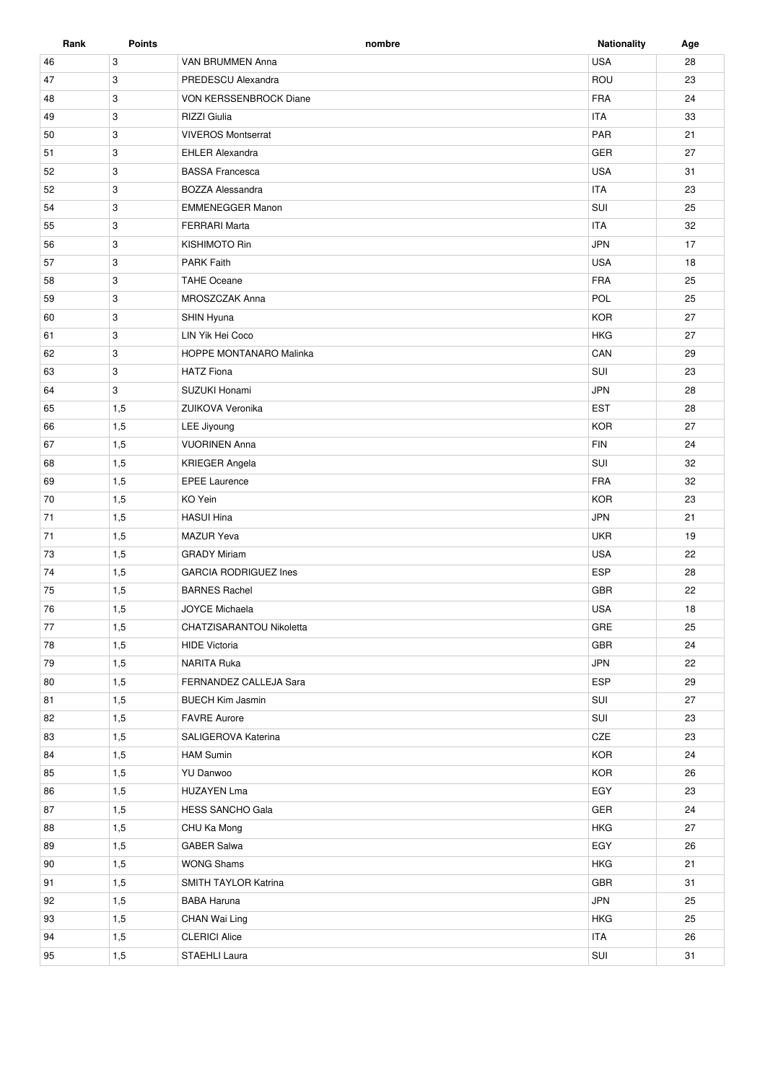| Rank | <b>Points</b> | nombre                       | <b>Nationality</b> | Age |
|------|---------------|------------------------------|--------------------|-----|
| 46   | 3             | VAN BRUMMEN Anna             | <b>USA</b>         | 28  |
| 47   | 3             | PREDESCU Alexandra           | ROU                | 23  |
| 48   | 3             | VON KERSSENBROCK Diane       | <b>FRA</b>         | 24  |
| 49   | 3             | <b>RIZZI</b> Giulia          | <b>ITA</b>         | 33  |
| 50   | 3             | <b>VIVEROS Montserrat</b>    | PAR                | 21  |
| 51   | 3             | <b>EHLER Alexandra</b>       | GER                | 27  |
| 52   | 3             | <b>BASSA Francesca</b>       | <b>USA</b>         | 31  |
| 52   | 3             | <b>BOZZA Alessandra</b>      | <b>ITA</b>         | 23  |
| 54   | 3             | <b>EMMENEGGER Manon</b>      | SUI                | 25  |
| 55   | 3             | <b>FERRARI Marta</b>         | <b>ITA</b>         | 32  |
| 56   | 3             | <b>KISHIMOTO Rin</b>         | <b>JPN</b>         | 17  |
| 57   | 3             | <b>PARK Faith</b>            | <b>USA</b>         | 18  |
| 58   | 3             | <b>TAHE Oceane</b>           | <b>FRA</b>         | 25  |
| 59   | 3             | MROSZCZAK Anna               | POL                | 25  |
| 60   | 3             | SHIN Hyuna                   | <b>KOR</b>         | 27  |
| 61   | 3             | LIN Yik Hei Coco             | <b>HKG</b>         | 27  |
| 62   | 3             | HOPPE MONTANARO Malinka      | CAN                | 29  |
| 63   | 3             | <b>HATZ Fiona</b>            | SUI                | 23  |
| 64   | 3             | SUZUKI Honami                | <b>JPN</b>         | 28  |
| 65   | 1,5           | ZUIKOVA Veronika             | <b>EST</b>         | 28  |
| 66   | 1,5           | LEE Jiyoung                  | <b>KOR</b>         | 27  |
| 67   | 1,5           | <b>VUORINEN Anna</b>         | <b>FIN</b>         | 24  |
| 68   | 1,5           | <b>KRIEGER Angela</b>        | SUI                | 32  |
| 69   | 1,5           | <b>EPEE Laurence</b>         | <b>FRA</b>         | 32  |
| 70   | 1,5           | KO Yein                      | <b>KOR</b>         | 23  |
| 71   | 1,5           | <b>HASUI Hina</b>            | <b>JPN</b>         | 21  |
| 71   | 1,5           | <b>MAZUR Yeva</b>            | <b>UKR</b>         | 19  |
| 73   | 1,5           | <b>GRADY Miriam</b>          | <b>USA</b>         | 22  |
| 74   | 1,5           | <b>GARCIA RODRIGUEZ Ines</b> | <b>ESP</b>         | 28  |
| 75   | 1,5           | <b>BARNES Rachel</b>         | <b>GBR</b>         | 22  |
| 76   | 1,5           | <b>JOYCE Michaela</b>        | <b>USA</b>         | 18  |
| 77   | 1,5           | CHATZISARANTOU Nikoletta     | GRE                | 25  |
| 78   | 1,5           | <b>HIDE Victoria</b>         | GBR                | 24  |
| 79   | 1,5           | <b>NARITA Ruka</b>           | <b>JPN</b>         | 22  |
| 80   | 1,5           | FERNANDEZ CALLEJA Sara       | ESP                | 29  |
| 81   | 1,5           | <b>BUECH Kim Jasmin</b>      | SUI                | 27  |
| 82   | 1,5           | <b>FAVRE Aurore</b>          | SUI                | 23  |
| 83   | 1,5           | SALIGEROVA Katerina          | CZE                | 23  |
| 84   | 1,5           | <b>HAM Sumin</b>             | <b>KOR</b>         | 24  |
| 85   | 1,5           | YU Danwoo                    | <b>KOR</b>         | 26  |
| 86   | 1,5           | <b>HUZAYEN Lma</b>           | EGY                | 23  |
| 87   | 1,5           | <b>HESS SANCHO Gala</b>      | GER                | 24  |
| 88   | 1,5           | CHU Ka Mong                  | <b>HKG</b>         | 27  |
| 89   | 1,5           | <b>GABER Salwa</b>           | EGY                | 26  |
| 90   | 1,5           | <b>WONG Shams</b>            | <b>HKG</b>         | 21  |
| 91   | 1,5           | SMITH TAYLOR Katrina         | GBR                | 31  |
| 92   | 1,5           | <b>BABA Haruna</b>           | <b>JPN</b>         | 25  |
| 93   | 1,5           | CHAN Wai Ling                | <b>HKG</b>         | 25  |
| 94   | 1,5           | <b>CLERICI Alice</b>         | <b>ITA</b>         | 26  |
| 95   | 1,5           | STAEHLI Laura                | SUI                | 31  |